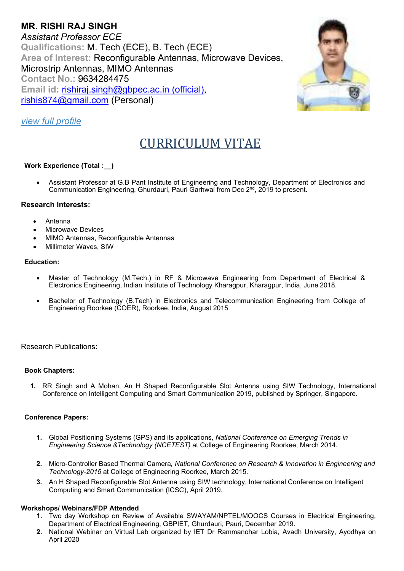# **MR. RISHI RAJ SINGH**  *Assistant Professor ECE* **Qualifications:** M. Tech (ECE), B. Tech (ECE) **Area of Interest:** Reconfigurable Antennas, Microwave Devices, Microstrip Antennas, MIMO Antennas **Contact No.:** 9634284475 **Email id:** rishiraj.singh@gbpec.ac.in (official), rishis874@gmail.com (Personal)



# *view full profile*

# CURRICULUM VITAE

# **Work Experience (Total :\_\_)**

 Assistant Professor at G.B Pant Institute of Engineering and Technology, Department of Electronics and Communication Engineering, Ghurdauri, Pauri Garhwal from Dec  $2<sup>nd</sup>$ , 2019 to present.

## **Research Interests:**

- Antenna
- Microwave Devices
- MIMO Antennas, Reconfigurable Antennas
- Millimeter Waves, SIW

#### **Education:**

- Master of Technology (M.Tech.) in RF & Microwave Engineering from Department of Electrical & Electronics Engineering, Indian Institute of Technology Kharagpur, Kharagpur, India, June 2018.
- Bachelor of Technology (B.Tech) in Electronics and Telecommunication Engineering from College of Engineering Roorkee (COER), Roorkee, India, August 2015

## Research Publications:

#### **Book Chapters:**

**1.** RR Singh and A Mohan, An H Shaped Reconfigurable Slot Antenna using SIW Technology, International Conference on Intelligent Computing and Smart Communication 2019, published by Springer, Singapore.

#### **Conference Papers:**

- **1.** Global Positioning Systems (GPS) and its applications, *National Conference on Emerging Trends in Engineering Science &Technology (NCETEST)* at College of Engineering Roorkee, March 2014.
- **2.** Micro-Controller Based Thermal Camera*, National Conference on Research & Innovation in Engineering and Technology-2015* at College of Engineering Roorkee, March 2015.
- **3.** An H Shaped Reconfigurable Slot Antenna using SIW technology, International Conference on Intelligent Computing and Smart Communication (ICSC), April 2019.

#### **Workshops/ Webinars/FDP Attended**

- **1.** Two day Workshop on Review of Available SWAYAM/NPTEL/MOOCS Courses in Electrical Engineering, Department of Electrical Engineering, GBPIET, Ghurdauri, Pauri, December 2019.
- **2.** National Webinar on Virtual Lab organized by IET Dr Rammanohar Lobia, Avadh University, Ayodhya on April 2020